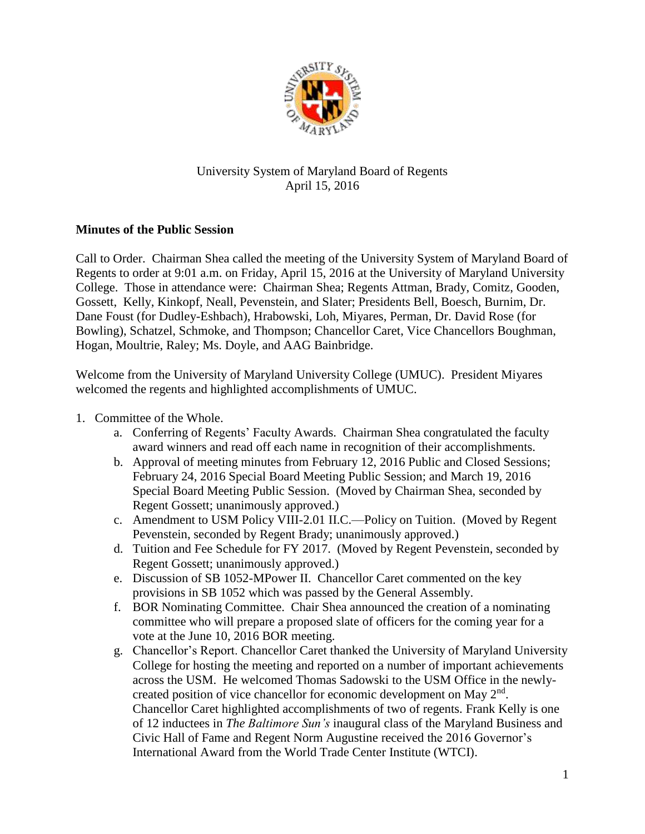

## University System of Maryland Board of Regents April 15, 2016

## **Minutes of the Public Session**

Call to Order. Chairman Shea called the meeting of the University System of Maryland Board of Regents to order at 9:01 a.m. on Friday, April 15, 2016 at the University of Maryland University College. Those in attendance were: Chairman Shea; Regents Attman, Brady, Comitz, Gooden, Gossett, Kelly, Kinkopf, Neall, Pevenstein, and Slater; Presidents Bell, Boesch, Burnim, Dr. Dane Foust (for Dudley-Eshbach), Hrabowski, Loh, Miyares, Perman, Dr. David Rose (for Bowling), Schatzel, Schmoke, and Thompson; Chancellor Caret, Vice Chancellors Boughman, Hogan, Moultrie, Raley; Ms. Doyle, and AAG Bainbridge.

Welcome from the University of Maryland University College (UMUC). President Miyares welcomed the regents and highlighted accomplishments of UMUC.

- 1. Committee of the Whole.
	- a. Conferring of Regents' Faculty Awards. Chairman Shea congratulated the faculty award winners and read off each name in recognition of their accomplishments.
	- b. Approval of meeting minutes from February 12, 2016 Public and Closed Sessions; February 24, 2016 Special Board Meeting Public Session; and March 19, 2016 Special Board Meeting Public Session. (Moved by Chairman Shea, seconded by Regent Gossett; unanimously approved.)
	- c. Amendment to USM Policy VIII-2.01 II.C.—Policy on Tuition. (Moved by Regent Pevenstein, seconded by Regent Brady; unanimously approved.)
	- d. Tuition and Fee Schedule for FY 2017. (Moved by Regent Pevenstein, seconded by Regent Gossett; unanimously approved.)
	- e. Discussion of SB 1052-MPower II. Chancellor Caret commented on the key provisions in SB 1052 which was passed by the General Assembly.
	- f. BOR Nominating Committee. Chair Shea announced the creation of a nominating committee who will prepare a proposed slate of officers for the coming year for a vote at the June 10, 2016 BOR meeting.
	- g. Chancellor's Report. Chancellor Caret thanked the University of Maryland University College for hosting the meeting and reported on a number of important achievements across the USM. He welcomed Thomas Sadowski to the USM Office in the newlycreated position of vice chancellor for economic development on May  $2<sup>nd</sup>$ . Chancellor Caret highlighted accomplishments of two of regents. Frank Kelly is one of 12 inductees in *The Baltimore Sun's* inaugural class of the Maryland Business and Civic Hall of Fame and Regent Norm Augustine received the 2016 Governor's International Award from the World Trade Center Institute (WTCI).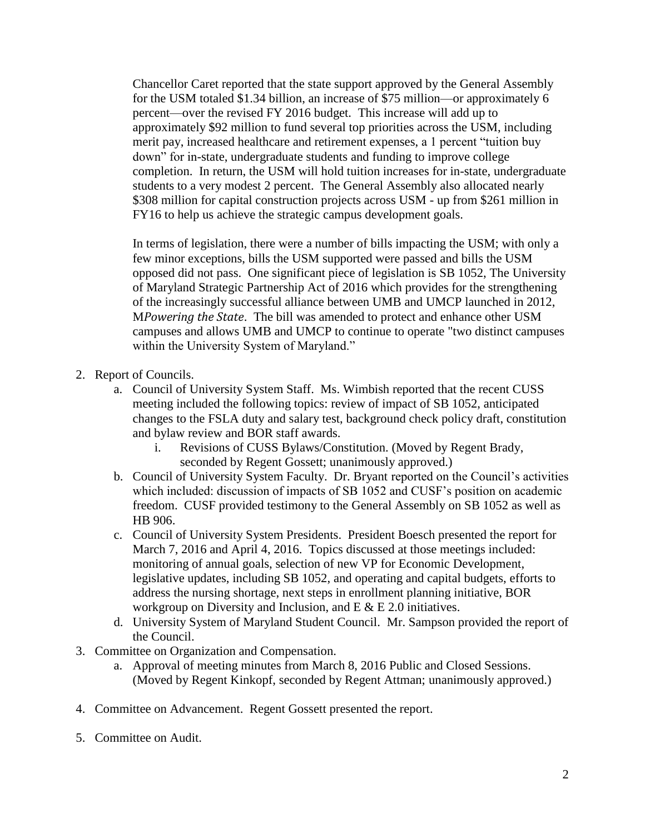Chancellor Caret reported that the state support approved by the General Assembly for the USM totaled \$1.34 billion, an increase of \$75 million—or approximately 6 percent—over the revised FY 2016 budget. This increase will add up to approximately \$92 million to fund several top priorities across the USM, including merit pay, increased healthcare and retirement expenses, a 1 percent "tuition buy down" for in-state, undergraduate students and funding to improve college completion. In return, the USM will hold tuition increases for in-state, undergraduate students to a very modest 2 percent. The General Assembly also allocated nearly \$308 million for capital construction projects across USM - up from \$261 million in FY16 to help us achieve the strategic campus development goals.

In terms of legislation, there were a number of bills impacting the USM; with only a few minor exceptions, bills the USM supported were passed and bills the USM opposed did not pass. One significant piece of legislation is SB 1052, The University of Maryland Strategic Partnership Act of 2016 which provides for the strengthening of the increasingly successful alliance between UMB and UMCP launched in 2012, M*Powering the State*. The bill was amended to protect and enhance other USM campuses and allows UMB and UMCP to continue to operate "two distinct campuses within the University System of Maryland."

- 2. Report of Councils.
	- a. Council of University System Staff. Ms. Wimbish reported that the recent CUSS meeting included the following topics: review of impact of SB 1052, anticipated changes to the FSLA duty and salary test, background check policy draft, constitution and bylaw review and BOR staff awards.
		- i. Revisions of CUSS Bylaws/Constitution. (Moved by Regent Brady, seconded by Regent Gossett; unanimously approved.)
	- b. Council of University System Faculty. Dr. Bryant reported on the Council's activities which included: discussion of impacts of SB 1052 and CUSF's position on academic freedom. CUSF provided testimony to the General Assembly on SB 1052 as well as HB 906.
	- c. Council of University System Presidents. President Boesch presented the report for March 7, 2016 and April 4, 2016. Topics discussed at those meetings included: monitoring of annual goals, selection of new VP for Economic Development, legislative updates, including SB 1052, and operating and capital budgets, efforts to address the nursing shortage, next steps in enrollment planning initiative, BOR workgroup on Diversity and Inclusion, and E & E 2.0 initiatives.
	- d. University System of Maryland Student Council. Mr. Sampson provided the report of the Council.
- 3. Committee on Organization and Compensation.
	- a. Approval of meeting minutes from March 8, 2016 Public and Closed Sessions. (Moved by Regent Kinkopf, seconded by Regent Attman; unanimously approved.)
- 4. Committee on Advancement. Regent Gossett presented the report.
- 5. Committee on Audit.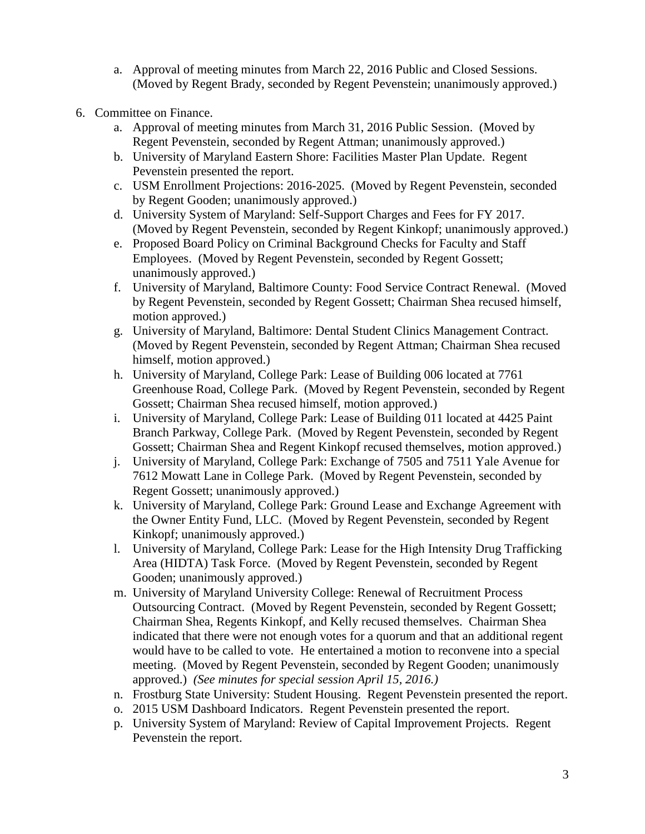- a. Approval of meeting minutes from March 22, 2016 Public and Closed Sessions. (Moved by Regent Brady, seconded by Regent Pevenstein; unanimously approved.)
- 6. Committee on Finance.
	- a. Approval of meeting minutes from March 31, 2016 Public Session. (Moved by Regent Pevenstein, seconded by Regent Attman; unanimously approved.)
	- b. University of Maryland Eastern Shore: Facilities Master Plan Update. Regent Pevenstein presented the report.
	- c. USM Enrollment Projections: 2016-2025. (Moved by Regent Pevenstein, seconded by Regent Gooden; unanimously approved.)
	- d. University System of Maryland: Self-Support Charges and Fees for FY 2017. (Moved by Regent Pevenstein, seconded by Regent Kinkopf; unanimously approved.)
	- e. Proposed Board Policy on Criminal Background Checks for Faculty and Staff Employees. (Moved by Regent Pevenstein, seconded by Regent Gossett; unanimously approved.)
	- f. University of Maryland, Baltimore County: Food Service Contract Renewal. (Moved by Regent Pevenstein, seconded by Regent Gossett; Chairman Shea recused himself, motion approved.)
	- g. University of Maryland, Baltimore: Dental Student Clinics Management Contract. (Moved by Regent Pevenstein, seconded by Regent Attman; Chairman Shea recused himself, motion approved.)
	- h. University of Maryland, College Park: Lease of Building 006 located at 7761 Greenhouse Road, College Park. (Moved by Regent Pevenstein, seconded by Regent Gossett; Chairman Shea recused himself, motion approved.)
	- i. University of Maryland, College Park: Lease of Building 011 located at 4425 Paint Branch Parkway, College Park. (Moved by Regent Pevenstein, seconded by Regent Gossett; Chairman Shea and Regent Kinkopf recused themselves, motion approved.)
	- j. University of Maryland, College Park: Exchange of 7505 and 7511 Yale Avenue for 7612 Mowatt Lane in College Park. (Moved by Regent Pevenstein, seconded by Regent Gossett; unanimously approved.)
	- k. University of Maryland, College Park: Ground Lease and Exchange Agreement with the Owner Entity Fund, LLC. (Moved by Regent Pevenstein, seconded by Regent Kinkopf; unanimously approved.)
	- l. University of Maryland, College Park: Lease for the High Intensity Drug Trafficking Area (HIDTA) Task Force. (Moved by Regent Pevenstein, seconded by Regent Gooden; unanimously approved.)
	- m. University of Maryland University College: Renewal of Recruitment Process Outsourcing Contract. (Moved by Regent Pevenstein, seconded by Regent Gossett; Chairman Shea, Regents Kinkopf, and Kelly recused themselves. Chairman Shea indicated that there were not enough votes for a quorum and that an additional regent would have to be called to vote. He entertained a motion to reconvene into a special meeting. (Moved by Regent Pevenstein, seconded by Regent Gooden; unanimously approved.) *(See minutes for special session April 15, 2016.)*
	- n. Frostburg State University: Student Housing. Regent Pevenstein presented the report.
	- o. 2015 USM Dashboard Indicators. Regent Pevenstein presented the report.
	- p. University System of Maryland: Review of Capital Improvement Projects. Regent Pevenstein the report.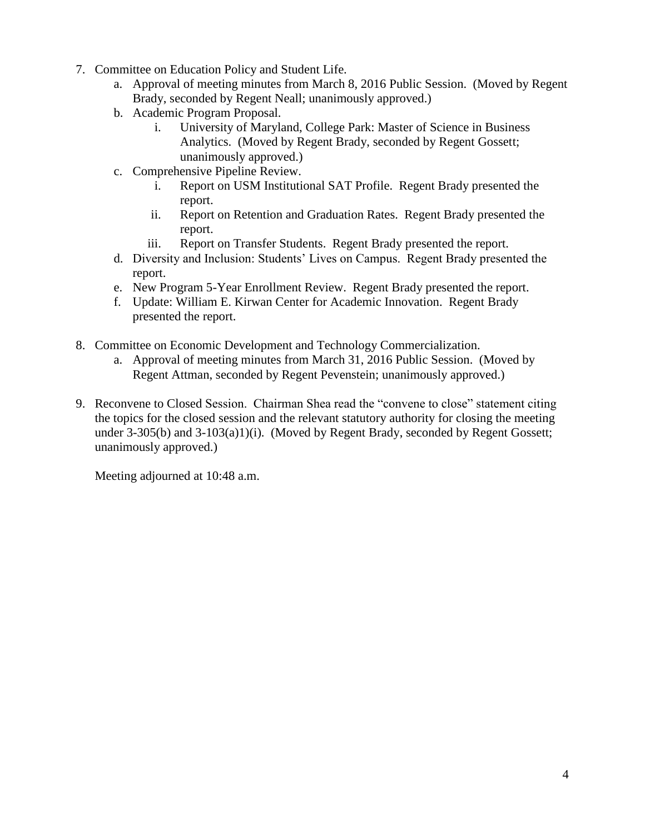- 7. Committee on Education Policy and Student Life.
	- a. Approval of meeting minutes from March 8, 2016 Public Session. (Moved by Regent Brady, seconded by Regent Neall; unanimously approved.)
	- b. Academic Program Proposal.
		- i. University of Maryland, College Park: Master of Science in Business Analytics. (Moved by Regent Brady, seconded by Regent Gossett; unanimously approved.)
	- c. Comprehensive Pipeline Review.
		- i. Report on USM Institutional SAT Profile. Regent Brady presented the report.
		- ii. Report on Retention and Graduation Rates. Regent Brady presented the report.
		- iii. Report on Transfer Students. Regent Brady presented the report.
	- d. Diversity and Inclusion: Students' Lives on Campus. Regent Brady presented the report.
	- e. New Program 5-Year Enrollment Review. Regent Brady presented the report.
	- f. Update: William E. Kirwan Center for Academic Innovation. Regent Brady presented the report.
- 8. Committee on Economic Development and Technology Commercialization.
	- a. Approval of meeting minutes from March 31, 2016 Public Session. (Moved by Regent Attman, seconded by Regent Pevenstein; unanimously approved.)
- 9. Reconvene to Closed Session. Chairman Shea read the "convene to close" statement citing the topics for the closed session and the relevant statutory authority for closing the meeting under 3-305(b) and 3-103(a)1)(i). (Moved by Regent Brady, seconded by Regent Gossett; unanimously approved.)

Meeting adjourned at 10:48 a.m.